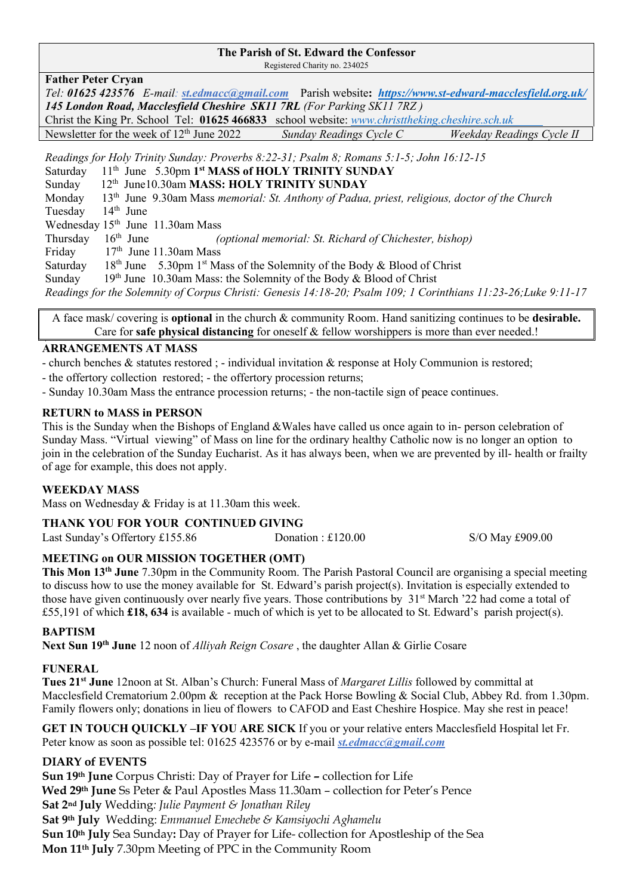#### **The Parish of St. Edward the Confessor**

Registered Charity no. 234025

#### **Father Peter Cryan**

*Tel: 01625 423576 E-mail: [st.edmacc@gmail.com](mailto:st.edmacc@gmail.com)* Parish website**:***<https://www.st-edward-macclesfield.org.uk/> 145 London Road, Macclesfield Cheshire SK11 7RL (For Parking SK11 7RZ )* Christ the King Pr. School Tel: **01625 466833** school website: *www.christtheking.cheshire.sch.uk*  Newsletter for the week of 12th June 2022 *Sunday Readings Cycle C Weekday Readings Cycle II* 

*Readings for Holy Trinity Sunday: Proverbs 8:22-31; Psalm 8; Romans 5:1-5; John 16:12-15* 

Saturday 11<sup>th</sup> June 5.30pm 1<sup>st</sup> MASS of HOLY TRINITY SUNDAY

Sunday 12<sup>th</sup> June10.30am MASS: HOLY TRINITY SUNDAY

Monday 13th June 9.30am Mass *memorial: St. Anthony of Padua, priest, religious, doctor of the Church* Tuesday 14<sup>th</sup> June

Wednesday  $15^{th}$  June 11.30am Mass<br>Thursday  $16^{th}$  June (6)

Thursday 16th June *(optional memorial: St. Richard of Chichester, bishop)* 

Friday  $17<sup>th</sup>$  June 11.30am Mass

Saturday th June 5.30pm  $1<sup>st</sup>$  Mass of the Solemnity of the Body & Blood of Christ

Sunday  $19<sup>th</sup>$  June 10.30am Mass: the Solemnity of the Body & Blood of Christ

*Readings for the Solemnity of Corpus Christi: Genesis 14:18-20; Psalm 109; 1 Corinthians 11:23-26;Luke 9:11-17*

A face mask/ covering is **optional** in the church & community Room. Hand sanitizing continues to be **desirable.** Care for **safe physical distancing** for oneself & fellow worshippers is more than ever needed.! L

#### **ARRANGEMENTS AT MASS**

- church benches & statutes restored ; - individual invitation & response at Holy Communion is restored;

- the offertory collection restored; - the offertory procession returns;

- Sunday 10.30am Mass the entrance procession returns; - the non-tactile sign of peace continues.

#### **RETURN to MASS in PERSON**

This is the Sunday when the Bishops of England &Wales have called us once again to in- person celebration of Sunday Mass. "Virtual viewing" of Mass on line for the ordinary healthy Catholic now is no longer an option to join in the celebration of the Sunday Eucharist. As it has always been, when we are prevented by ill- health or frailty of age for example, this does not apply.

#### **WEEKDAY MASS**

Mass on Wednesday & Friday is at 11.30am this week.

#### **THANK YOU FOR YOUR CONTINUED GIVING**

| Last Sunday's Offertory £155.86 | Donation: $£120.00$ | S/O May £909.00 |
|---------------------------------|---------------------|-----------------|
|                                 |                     |                 |

#### **MEETING on OUR MISSION TOGETHER (OMT)**

**This Mon 13th June** 7.30pm in the Community Room. The Parish Pastoral Council are organising a special meeting to discuss how to use the money available for St. Edward's parish project(s). Invitation is especially extended to those have given continuously over nearly five years. Those contributions by 31<sup>st</sup> March '22 had come a total of £55,191 of which **£18, 634** is available - much of which is yet to be allocated to St. Edward's parish project(s).

#### **BAPTISM**

**Next Sun 19th June** 12 noon of *Alliyah Reign Cosare* , the daughter Allan & Girlie Cosare

#### **FUNERAL**

**Tues 21st June** 12noon at St. Alban's Church: Funeral Mass of *Margaret Lillis* followed by committal at Macclesfield Crematorium 2.00pm & reception at the Pack Horse Bowling & Social Club, Abbey Rd. from 1.30pm. Family flowers only; donations in lieu of flowers to CAFOD and East Cheshire Hospice. May she rest in peace!

**GET IN TOUCH QUICKLY –IF YOU ARE SICK** If you or your relative enters Macclesfield Hospital let Fr. Peter know as soon as possible tel: 01625 423576 or by e-mail *[st.edmacc@gmail.com](mailto:st.edmacc@gmail.com)*

#### **DIARY of EVENTS**

**Sun 19th June** Corpus Christi: Day of Prayer for Life **–** collection for Life **Wed 29th June** Ss Peter & Paul Apostles Mass 11.30am – collection for Peter's Pence **Sat 2nd July** Wedding*: Julie Payment & Jonathan Riley* **Sat 9th July** Wedding: *Emmanuel Emechebe & Kamsiyochi Aghamelu* **Sun 10th July** Sea Sunday**:** Day of Prayer for Life- collection for Apostleship of the Sea **Mon 11th July** 7.30pm Meeting of PPC in the Community Room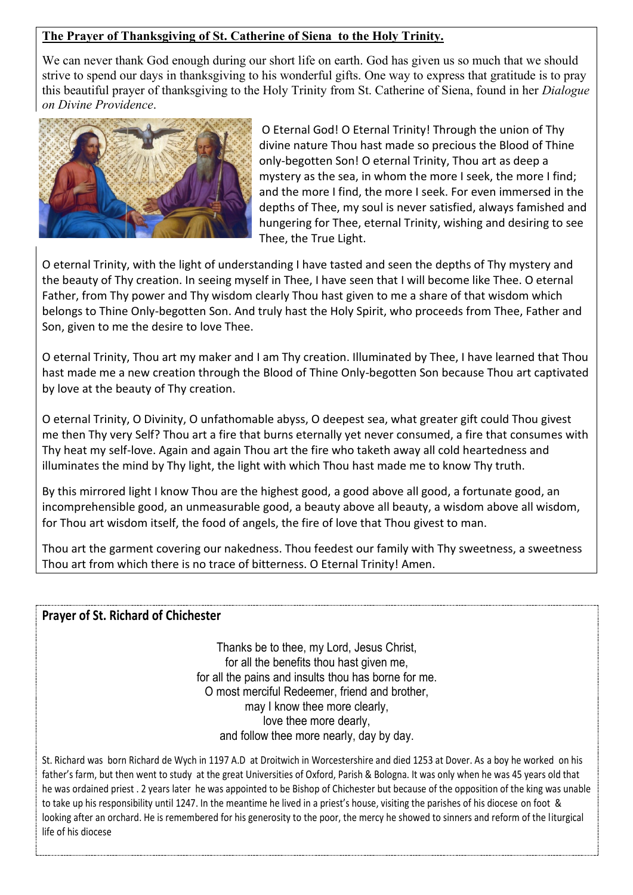#### **The Prayer of Thanksgiving of St. Catherine of Siena to the Holy Trinity.**

We can never thank God enough during our short life on earth. God has given us so much that we should strive to spend our days in thanksgiving to his wonderful gifts. One way to express that gratitude is to pray this beautiful prayer of thanksgiving to the Holy Trinity from St. Catherine of Siena, found in her *Dialogue on Divine Providence*.



O Eternal God! O Eternal Trinity! Through the union of Thy divine nature Thou hast made so precious the Blood of Thine only-begotten Son! O eternal Trinity, Thou art as deep a mystery as the sea, in whom the more I seek, the more I find; and the more I find, the more I seek. For even immersed in the depths of Thee, my soul is never satisfied, always famished and hungering for Thee, eternal Trinity, wishing and desiring to see Thee, the True Light.

O eternal Trinity, with the light of understanding I have tasted and seen the depths of Thy mystery and the beauty of Thy creation. In seeing myself in Thee, I have seen that I will become like Thee. O eternal Father, from Thy power and Thy wisdom clearly Thou hast given to me a share of that wisdom which belongs to Thine Only-begotten Son. And truly hast the Holy Spirit, who proceeds from Thee, Father and Son, given to me the desire to love Thee.

O eternal Trinity, Thou art my maker and I am Thy creation. Illuminated by Thee, I have learned that Thou hast made me a new creation through the Blood of Thine Only-begotten Son because Thou art captivated by love at the beauty of Thy creation.

O eternal Trinity, O Divinity, O unfathomable abyss, O deepest sea, what greater gift could Thou givest me then Thy very Self? Thou art a fire that burns eternally yet never consumed, a fire that consumes with Thy heat my self-love. Again and again Thou art the fire who taketh away all cold heartedness and illuminates the mind by Thy light, the light with which Thou hast made me to know Thy truth.

By this mirrored light I know Thou are the highest good, a good above all good, a fortunate good, an incomprehensible good, an unmeasurable good, a beauty above all beauty, a wisdom above all wisdom, for Thou art wisdom itself, the food of angels, the fire of love that Thou givest to man.

Thou art the garment covering our nakedness. Thou feedest our family with Thy sweetness, a sweetness Thou art from which there is no trace of bitterness. O Eternal Trinity! Amen.

#### **Prayer of St. Richard of Chichester**

Thanks be to thee, my Lord, Jesus Christ, for all the benefits thou hast given me, for all the pains and insults thou has borne for me. O most merciful Redeemer, friend and brother, may I know thee more clearly, love thee more dearly, and follow thee more nearly, day by day.

St. Richard was born Richard de Wych in 1197 A.D at Droitwich in Worcestershire and died 1253 at Dover. As a boy he worked on his father's farm, but then went to study at the great Universities of Oxford, Parish & Bologna. It was only when he was 45 years old that he was ordained priest . 2 years later he was appointed to be Bishop of Chichester but because of the opposition of the king was unable to take up his responsibility until 1247. In the meantime he lived in a priest's house, visiting the parishes of his diocese on foot & looking after an orchard. He is remembered for his generosity to the poor, the mercy he showed to sinners and reform of the liturgical life of his diocese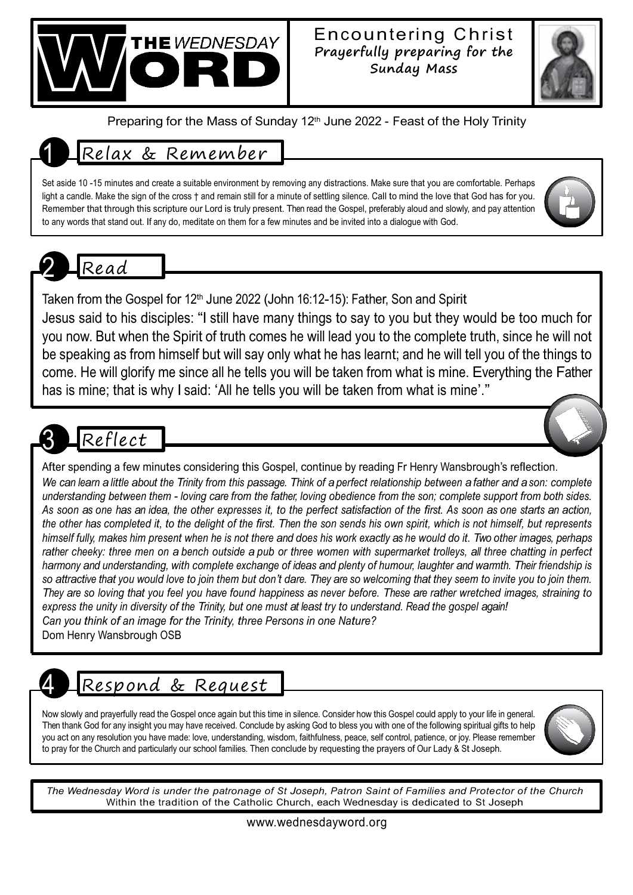

#### Encountering Christ **Prayerfully preparing for the Sunday Mass**



Preparing for the Mass of Sunday 12<sup>th</sup> June 2022 - Feast of the Holy Trinity

## 1 Relax & Remember

Set aside 10 -15 minutes and create a suitable environment by removing any distractions. Make sure that you are comfortable. Perhaps light a candle. Make the sign of the cross  $\dagger$  and remain still for a minute of settling silence. Call to mind the love that God has for you. Remember that through this scripture our Lord is truly present. Then read the Gospel, preferably aloud and slowly, and pay attention to any words that stand out. If any do, meditate on them for a few minutes and be invited into a dialogue with God.



Taken from the Gospel for 12<sup>th</sup> June 2022 (John 16:12-15): Father, Son and Spirit

Jesus said to his disciples: "I still have many things to say to you but they would be too much for you now. But when the Spirit of truth comes he will lead you to the complete truth, since he will not be speaking as from himself but will say only what he has learnt; and he will tell you of the things to come. He will glorify me since all he tells you will be taken from what is mine. Everything the Father has is mine; that is why I said: 'All he tells you will be taken from what is mine'."

# Reflect

After spending a few minutes considering this Gospel, continue by reading Fr Henry Wansbrough's reflection. We can learn a little about the Trinity from this passage. Think of a perfect relationship between a father and a son: complete understanding between them - loving care from the father, loving obedience from the son; complete support from both sides. As soon as one has an idea, the other expresses it, to the perfect satisfaction of the first. As soon as one starts an action, the other has completed it, to the delight of the first. Then the son sends his own spirit, which is not himself, but represents himself fully, makes him present when he is not there and does his work exactly as he would do it. Two other images, perhaps rather cheeky: three men on a bench outside a pub or three women with supermarket trolleys, all three chatting in perfect harmony and understanding, with complete exchange of ideas and plenty of humour, laughter and warmth. Their friendship is so attractive that you would love to join them but don't dare. They are so welcoming that they seem to invite you to join them. They are so loving that you feel you have found happiness as never before. These are rather wretched images, straining to express the unity in diversity of the Trinity, but one must at least try to understand. Read the gospel again! *Can you think of an image for the Trinity, three Persons in one Nature?* Dom Henry Wansbrough OSB

# 4 Respond & Request

Now slowly and prayerfully read the Gospel once again but this time in silence. Consider how this Gospel could apply to your life in general. Then thank God for any insight you may have received. Conclude by asking God to bless you with one of the following spiritual gifts to help you act on any resolution you have made: love, understanding, wisdom, faithfulness, peace, self control, patience, or joy. Please remember to pray for the Church and particularly our school families. Then conclude by requesting the prayers of Our Lady & St Joseph.



The Wednesday Word is under the patronage of St Joseph, Patron Saint of Families and Protector of the Church Within the tradition of the Catholic Church, each Wednesday is dedicated to St Joseph